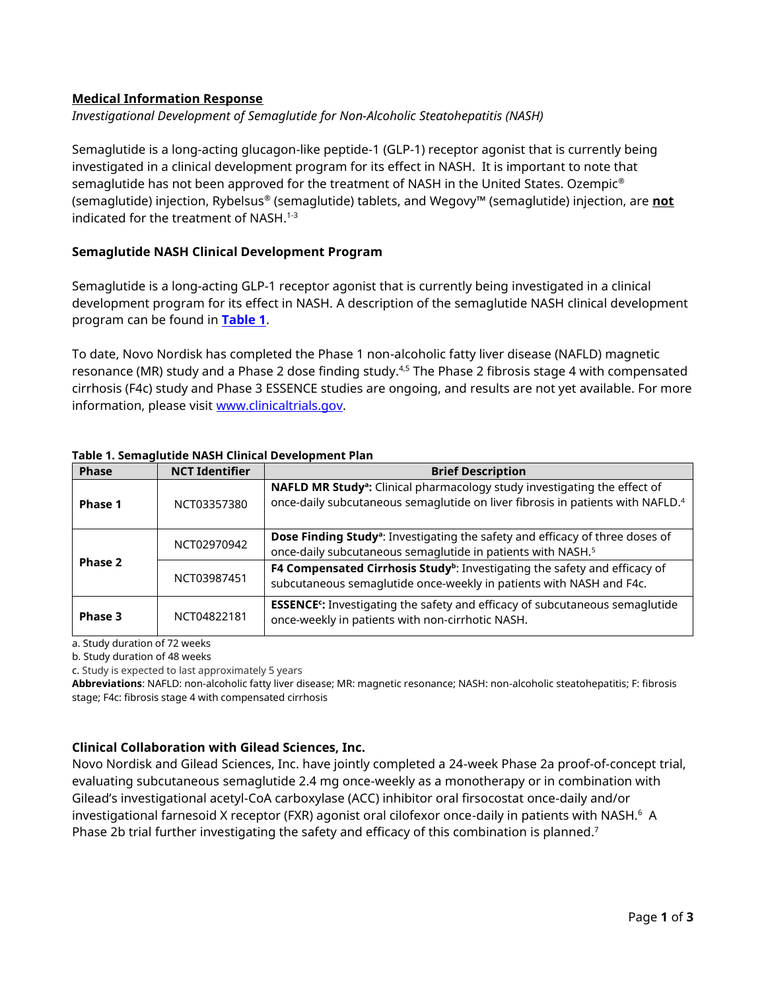### **Medical Information Response**

*Investigational Development of Semaglutide for Non-Alcoholic Steatohepatitis (NASH)*

Semaglutide is a long-acting glucagon-like peptide-1 (GLP-1) receptor agonist that is currently being investigated in a clinical development program for its effect in NASH. It is important to note that semaglutide has not been approved for the treatment of NASH in the United States. Ozempic<sup>®</sup> (semaglutide) injection, Rybelsus® (semaglutide) tablets, and Wegovy™ (semaglutide) injection, are **not** indicated for the treatment of NASH. $1-3$ 

## **Semaglutide NASH Clinical Development Program**

Semaglutide is a long-acting GLP-1 receptor agonist that is currently being investigated in a clinical development program for its effect in NASH. A description of the semaglutide NASH clinical development program can be found in **Table 1**.

To date, Novo Nordisk has completed the Phase 1 non-alcoholic fatty liver disease (NAFLD) magnetic resonance (MR) study and a Phase 2 dose finding study.<sup>4,5</sup> The Phase 2 fibrosis stage 4 with compensated cirrhosis (F4c) study and Phase 3 ESSENCE studies are ongoing, and results are not yet available. For more information, please visit [www.clinicaltrials.gov.](http://www.clinicaltrials.gov/)

| <b>Phase</b> | <b>NCT Identifier</b> | <b>Brief Description</b>                                                                                                                                                            |
|--------------|-----------------------|-------------------------------------------------------------------------------------------------------------------------------------------------------------------------------------|
| Phase 1      | NCT03357380           | NAFLD MR Study <sup>a</sup> : Clinical pharmacology study investigating the effect of<br>once-daily subcutaneous semaglutide on liver fibrosis in patients with NAFLD. <sup>4</sup> |
| Phase 2      | NCT02970942           | Dose Finding Study <sup>a</sup> : Investigating the safety and efficacy of three doses of<br>once-daily subcutaneous semaglutide in patients with NASH. <sup>5</sup>                |
|              | NCT03987451           | F4 Compensated Cirrhosis Study <sup>b</sup> : Investigating the safety and efficacy of<br>subcutaneous semaglutide once-weekly in patients with NASH and F4c.                       |
| Phase 3      | NCT04822181           | <b>ESSENCE:</b> Investigating the safety and efficacy of subcutaneous semaglutide<br>once-weekly in patients with non-cirrhotic NASH.                                               |

#### **Table 1. Semaglutide NASH Clinical Development Plan**

a. Study duration of 72 weeks

b. Study duration of 48 weeks

c. Study is expected to last approximately 5 years

**Abbreviations**: NAFLD: non-alcoholic fatty liver disease; MR: magnetic resonance; NASH: non-alcoholic steatohepatitis; F: fibrosis stage; F4c: fibrosis stage 4 with compensated cirrhosis

# **Clinical Collaboration with Gilead Sciences, Inc.**

Novo Nordisk and Gilead Sciences, Inc. have jointly completed a 24-week Phase 2a proof-of-concept trial, evaluating subcutaneous semaglutide 2.4 mg once-weekly as a monotherapy or in combination with Gilead's investigational acetyl-CoA carboxylase (ACC) inhibitor oral firsocostat once-daily and/or investigational farnesoid X receptor (FXR) agonist oral cilofexor once-daily in patients with NASH. $^{\rm 6}$  A Phase 2b trial further investigating the safety and efficacy of this combination is planned. 7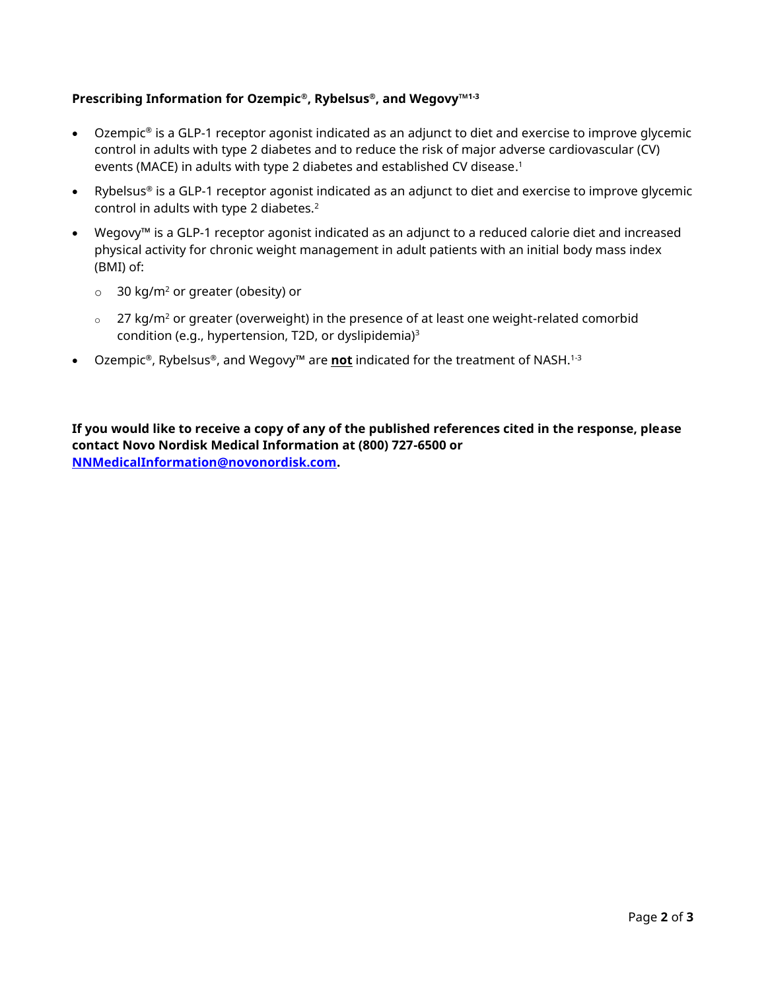# **Prescribing Information for Ozempic®, Rybelsus®, and Wegovy™1-3**

- Ozempic® is a GLP-1 receptor agonist indicated as an adjunct to diet and exercise to improve glycemic control in adults with type 2 diabetes and to reduce the risk of major adverse cardiovascular (CV) events (MACE) in adults with type 2 diabetes and established CV disease. 1
- Rybelsus® is a GLP-1 receptor agonist indicated as an adjunct to diet and exercise to improve glycemic control in adults with type 2 diabetes.<sup>2</sup>
- Wegovy™ is a GLP-1 receptor agonist indicated as an adjunct to a reduced calorie diet and increased physical activity for chronic weight management in adult patients with an initial body mass index (BMI) of:
	- $\circ$  30 kg/m<sup>2</sup> or greater (obesity) or
	- $\degree$  27 kg/m<sup>2</sup> or greater (overweight) in the presence of at least one weight-related comorbid condition (e.g., hypertension, T2D, or dyslipidemia)<sup>3</sup>
- Ozempic®, Rybelsus®, and Wegovy™ are **not** indicated for the treatment of NASH.1-3

**If you would like to receive a copy of any of the published references cited in the response, please contact Novo Nordisk Medical Information at (800) 727-6500 or [NNMedicalInformation@novonordisk.com.](mailto:NNMedicalInformation@novonordisk.com)**